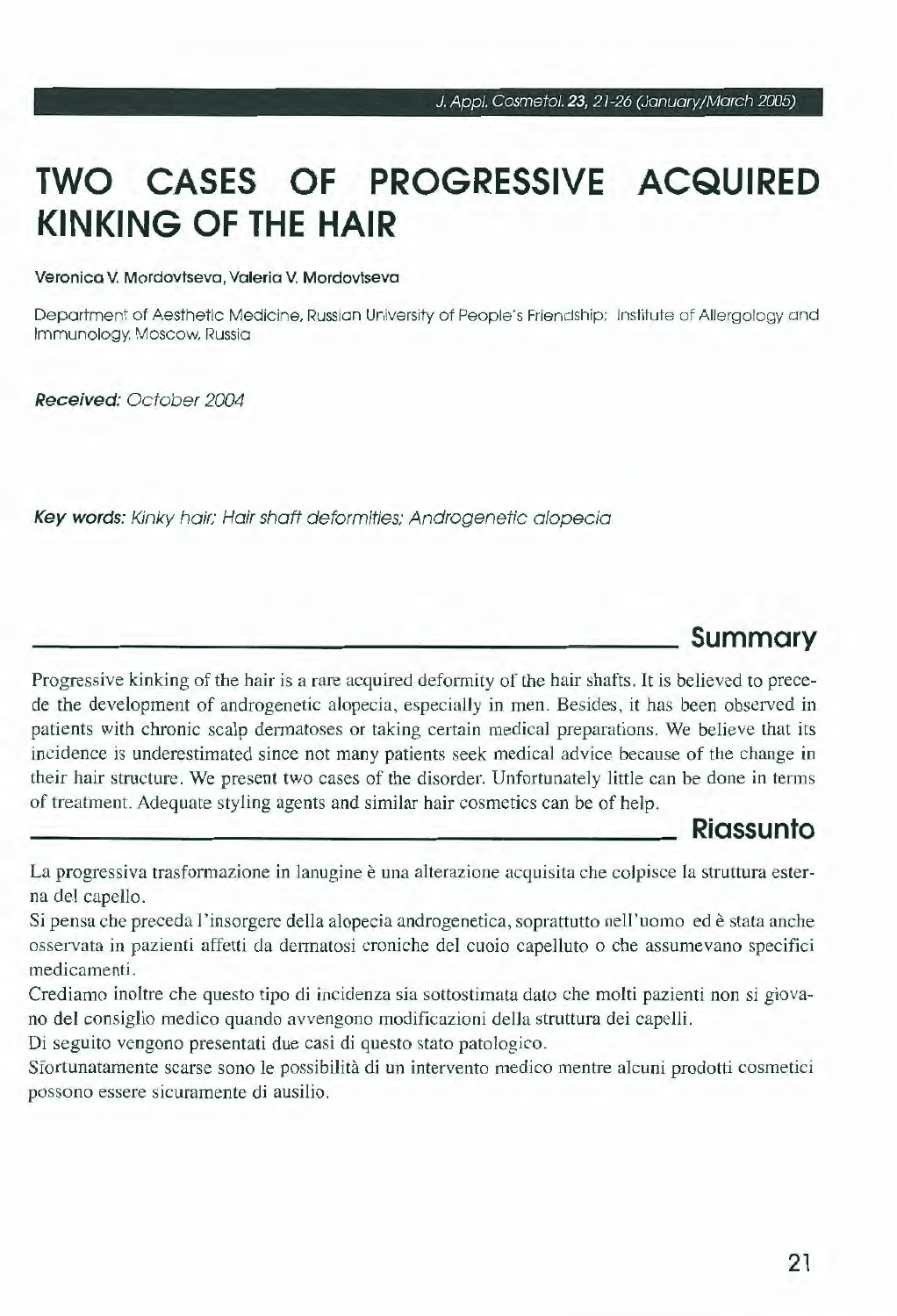# **TWO CASES OF PROGRESSIVE ACQUIRED KINKING OF THE HAIR**

Veronica V. Mordovtseva, Valerla V. Mordovtseva

Deportment of Aesthetic Medicine. Russion University of People's Friendship; lnstitute of Allergology ond lmmunology. Moscow. Russia

Received: October 2004

Key words: Kinky hair; Hair shaft deformities; Androgenetic alopecia

## **Summary**

Progressive kinking of the hair is a rare acquired deformity of the hair shafts. It is believed to precede the development of androgenetic alopecia, especially in men. Besides, it has been observed in patients with chronic scalp dermatoses or taking certain medical preparations. We believe that its incidence is underestimated since not many patients seek medical advice because of the change in their hair structure. We present two cases of the disorder. Unfortunately little can be done in terms of treatment. Adequate styling agents and similar hair cosmetics can be of help.

## **Riassunto**

La progressiva trasformazione in lanugine è una alterazione acquisita che colpisce la struttura esterna del capello.

Si pensa che preceda l'insorgere della alopecia androgenetica, soprattutto nell'uomo ed è stata anche osservata in pazienti affetti da dermatosi croniche del cuoio capelluto o che assumevano specifici medicamenti.

Crediamo inoltre che questo tipo di incidenza sia sottostimata dato che molti pazienti non si giovano del consiglio medico quando avvengono modificazioni della struttura dei capelli.

Di seguito vengono presentati due casi di questo stato patologico.

Sfortunatamente scarse sono le possibilità di un intervento medico mentre alcuni prodotti cosmetici possono essere sicuramente di ausilio.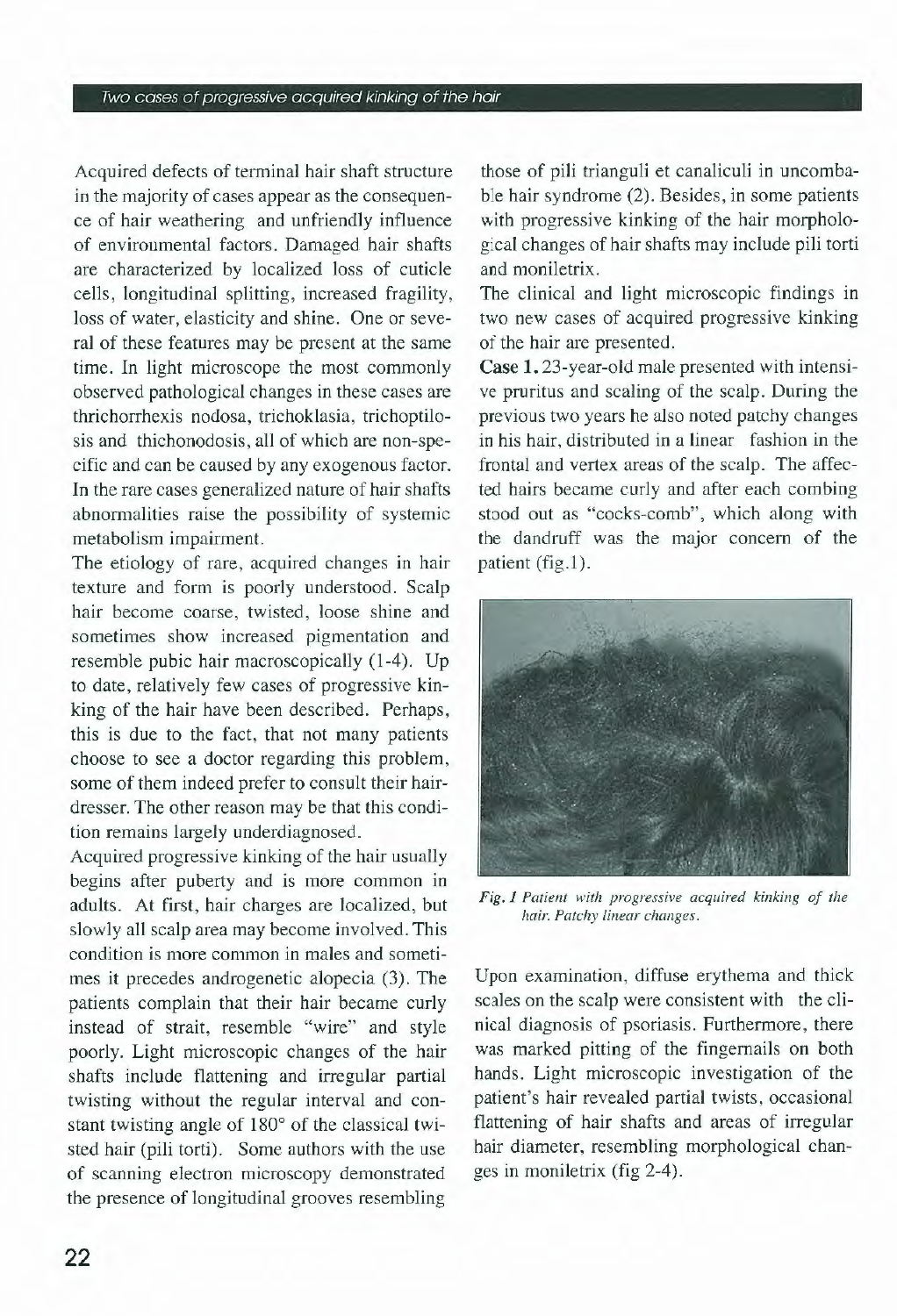#### Two cases of progressive acquired kinking of the hair

Acquired defects of terminal hair shaft structure in the majority of cases appear as the consequence of hair weathering and unfriendly influence of environmental factors. Damaged hair shafts are characterized by localized loss of cuticle cells, longitudinal splitting, increased fragility, loss of water, elasticity and shine. One or several of these features may be present at the same time. In light microscope the most commonly observed pathological changes in these cases are thrichorrhexis nodosa, trichoklasia, trichoptilosis and thichonodosis, ali of which are non-specific and can be caused by any exogenous factor. In the rare cases generalized nature of hair shafts abnormalities raise the possibility of systemic metabolism impairment.

The etiology of rare, acquired changes in hair texture and form is poorly understood. Scalp hair become coarse, twisted, loose shine and sometimes show increased pigmentation and resemble pubic hair macroscopically (1-4). Up to date, relatively few cases of progressive kinking of the hair have been described. Perhaps, this is due to the fact, that not many patients choose to see a doctor regarding this problem, some of them indeed prefer to consult their hairdresser. The other reason may be that this condition remains largely underdiagnosed.

Acquired progressive kinking of the hair usually begins after puberty and is more common in adults. At first, hair charges are localized, but slowly ali scalp area may become involved. This condition is more common in males and sometimes it precedes androgenetic alopecia (3). The patients complain that their hair became curly instead of strait, resemble "wire" and style poorly. Light microscopie changes of the hair shafts include flattening and irregular partial twisting without the regular interval and constant twisting angle of 180° of the classical twisted hair (pili torti). Some authors with the use of scanning electron microscopy demonstrated the presence of longitudinal grooves resembling

those of pili trianguli et canaliculi in uncombable hair syndrome (2). Besides, in some patients with progressive kinking of the hair morphological changes of hair shafts may include pili torti and moniletrix.

The clinical and light microscopic findings in two new cases of acquired progressive kinking of the hair are presented.

Case 1. 23-year-old male presented with intensive pruritus and scaling of the scalp. During the previous two years he also noted patchy changes in his hair, distributed in a linear fashion in the frontal and vertex areas of the scalp. The affected hairs became curly and after each combing stood out as "cocks-comb", which along with the dandruff was the major concern of the patient (fig.l).



Fig. 1 Patient with progressive acquired kinking of the *hair. Patchy linear changes.* 

Upon examination, diffuse erythema and thick scales on the scalp were consistent with the clinica) diagnosis of psoriasis. Furthermore, there was marked pitting of the fingernails on both hands. Light microscopie investigation of the patient's hair revealed partial twists, occasionai flattening of hair shafts and areas of irregular hair diameter, resembling morphological changes in moniletrix (fig 2-4).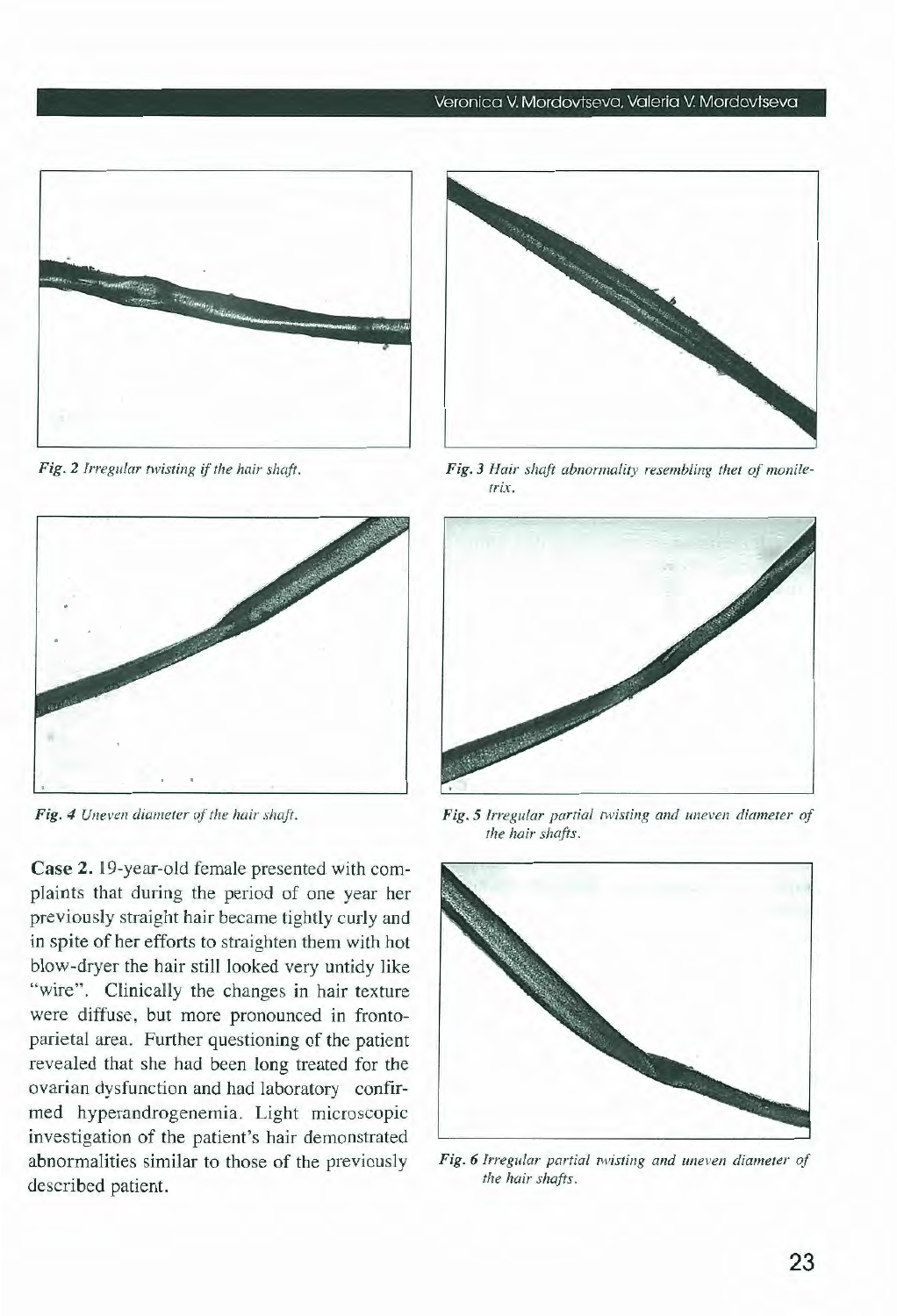

Fig. 2 Irregular twisting if the hair shaft.



**Fig. 4** Uneven diameter of the hair shaft.

**Case 2.** 19-year-old female presented with complaints that during the period of one year her previously straight hair became tightly curly and in spite of her efforts to straighten them with hot blow-dryer the hair stili looked very untidy like "wire". Clinically the changes in hair texture were diffuse, but more pronounced in frontoparietal area. Further questioning of the patient revealed that she had been long treated for the ovarian dysfunction and had laboratory confirmed hyperandrogenemia. Light microscopie investigation of the patient's hair demonstrated abnormalities similar to those of the previously described patient.



Fig. 3 Hair shaft abnormality resembling thet of monile-*1rix.* 



Fig. 5 Irregular partial twisting and uneven diameter of *rhe hair shafts.* 



Fig. 6 Irregular partial twisting and uneven diameter of *rhe hair shafts.*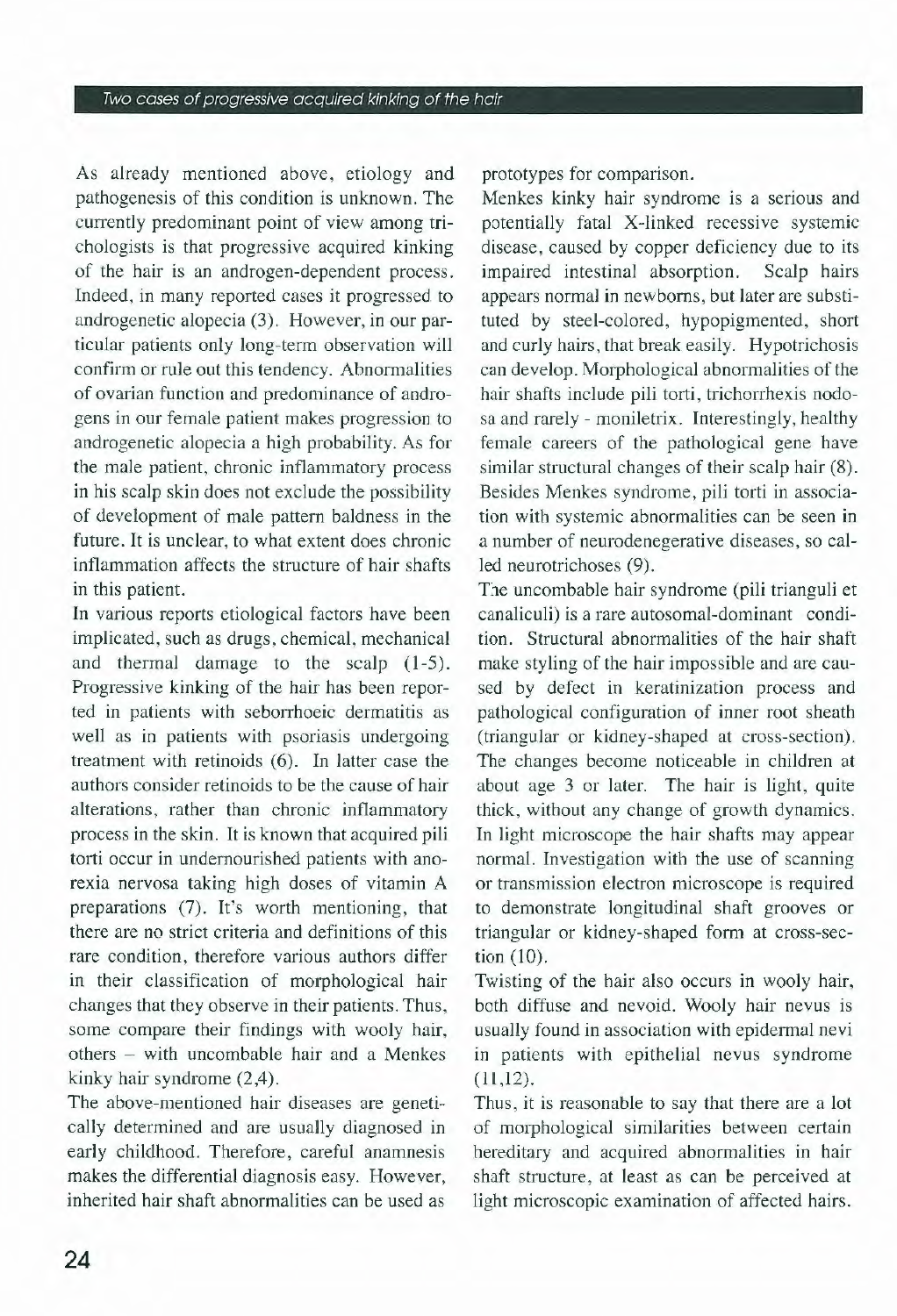#### Two coses of progressive ocquired kinking of the hoir

As already mentioned above, etiology and pathogenesis of this condition is unknown. The currently predominant point of view among trichologists is that progressive acquired kinking of the hair is an androgen-dependent process. lndeed, in many reported cases it progressed to androgenetic alopecia (3). However, in our particular patients only long-term observation will confirm or rule out this tendency. Abnormalities of ovarian function and predominance of androgens in our female patient makes progression to androgenetic alopecia a high probability. As for the male patient, chronic inflammatory process in his scalp skin does not exclude the possibility of development of male pattern baldness in the future. It is unclear, to what extent does chronic inflammation affects the structure of hair shafts in this patient.

In various reports etiological factors have been implicated, such as drugs, chemical, mechanical and thermal damage to the scalp  $(1-5)$ . Progressive kinking of the hair has been reported in patients with seborrhoeic dermatitis as well as in patients with psoriasis undergoing treatment with retinoids (6). In latter case the authors consider retinoids to be the cause of hair alterations, rather than chronic inflammatory process in the skin. It is known that acquired pili torti occur in undernourished patients with anorexia nervosa taking high doses of vitamin A preparations (7). It's worth mentioning, that there are no strict criteria and definitions of this rare condition, therefore various authors differ in their classification of morphological hair changes that they observe in their patients. Thus, some compare their findings with wooly hair, others - with uncombable hair and a Menkes kinky hair syndrome (2,4).

The above-mentioned hair diseases are genetically determined and are usually diagnosed in early childhood. Therefore, careful anamnesis makes the differential diagnosis easy. However, inherited hair shaft abnormalities can be used as

prototypes for comparison.

Menkes kinky hair syndrome is a serious and potentially fatai X-linked recessive systemic disease, caused by copper deficiency due to its impaired intestinal absorption. Scalp hairs appears normal in newborns, but later are substituted by steel-colored, hypopigmented, short and curly hairs, that break easily. Hypotrichosis can develop. Morphological abnormalities of the hair shafts include pili torti, trichorrhexis nodosa and rarely - moniletrix. Interestingly, healthy female careers of the pathological gene have similar structural changes of their scalp hair (8). Besides Menkes syndrome, pili torti in association with systemic abnormalities can be seen in a number of neurodenegerative diseases, so called neurotrichoses (9).

The uncombable hair syndrome (pili trianguli et canaliculi) is a rare autosomal-dominant condition. Structural abnormalities of the hair shaft make styling of the hair impossible and are caused by defect in keratinization process and pathological configuration of inner root sheath (triangular or kidney-shaped at cross-section). The changes become noticeable in children at about age 3 or later. The hair is light, quite thick, without any change of growth dynamics. In light microscope the hair shafts may appear normai. Investigation with the use of scanning or transmission electron microscope is required to demonstrate longitudinal shaft grooves or triangular or kidney-shaped form at cross-section  $(10)$ .

Twisting of the hair also occurs in wooly hair, both diffuse and nevoid. Wooly hair nevus is usually found in association with epidermal nevi in patients with epithelial nevus syndrome  $(11.12).$ 

Thus, it is reasonable to say that there are a lot of morphological similarities between certain hereditary and acquired abnormalities in hair shaft structure, at least as can be perceived at light microscopie examination of affected hairs.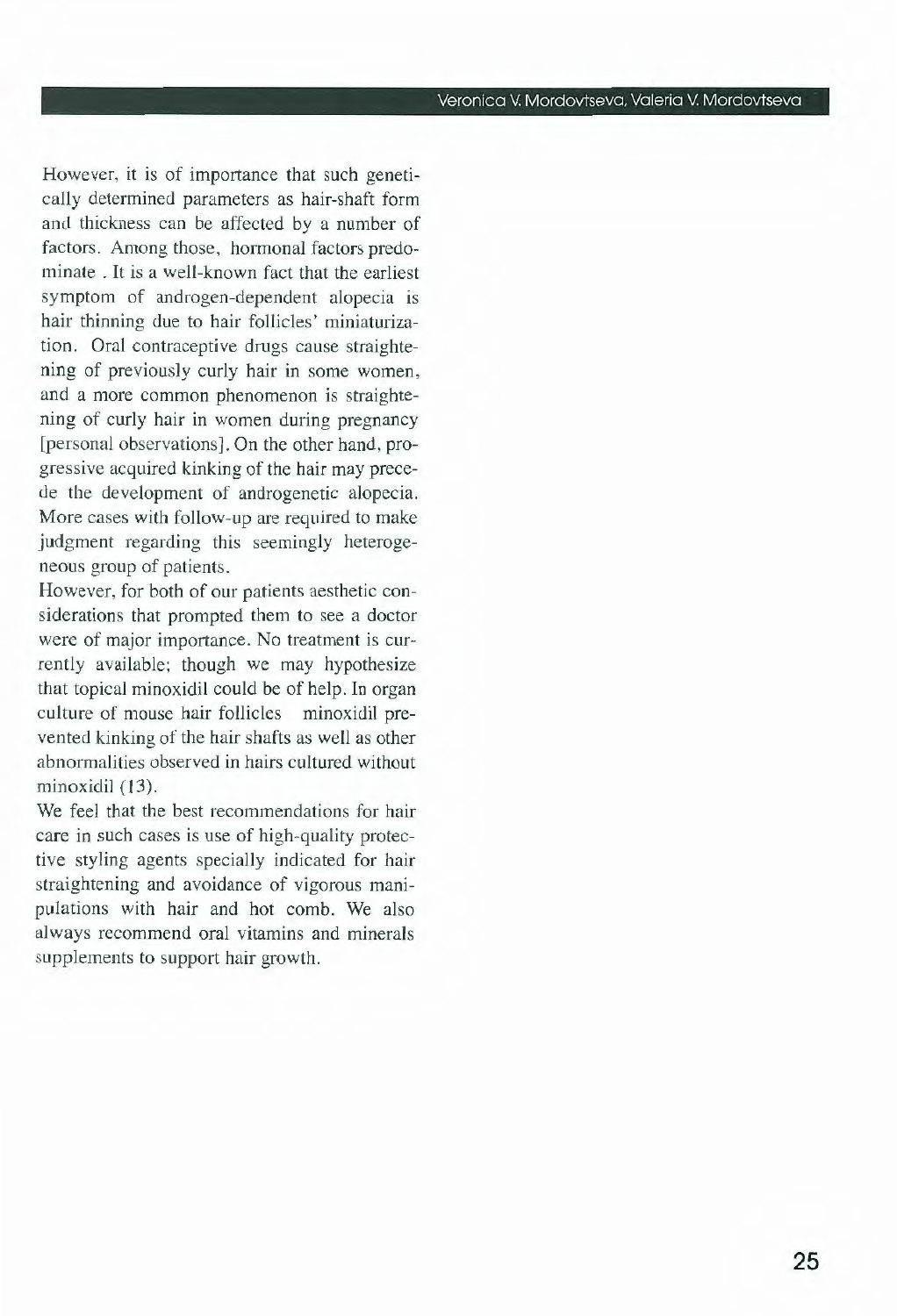However, it is of importance that such genetically determined parameters as hair-shaft form and thickness can be affected by a number of factors. Among those, hormonal factors predominate . It is a well-known fact that the earliest symptom of androgen-dependent alopecia is hair thinning due to hair follicles' miniaturization. Oral contraceptive drugs cause straightening of previously curly hair in some women, and a more common phenomenon is straightening of curly hair in women during pregnancy [personal observations]. On the other hand, progressive acquired kinking of the hair may precede the development of androgenetic alopecia. More cases with follow-up are required to make judgment regarding this seemingly heterogeneous group of patients.

However, for both of our patients aesthetic considerations that prompted them to see a doctor were of major importance. No treatment is currently available; though we may hypothesize that topical minoxidil could be of help. In organ culture of mouse hair follicles minoxidil prevented kinking of the hair shafts as well as other abnormalities observed in hairs cultured without minoxidil (13).

We feel that the best recommendations for hair care in such cases is use of high-quality protective styling agents specially indicated for hair straightening and avoidance of vigorous manipulations with hair and hot comb. We also always recommend oral vitamins and minerals supplements to support hair growth.